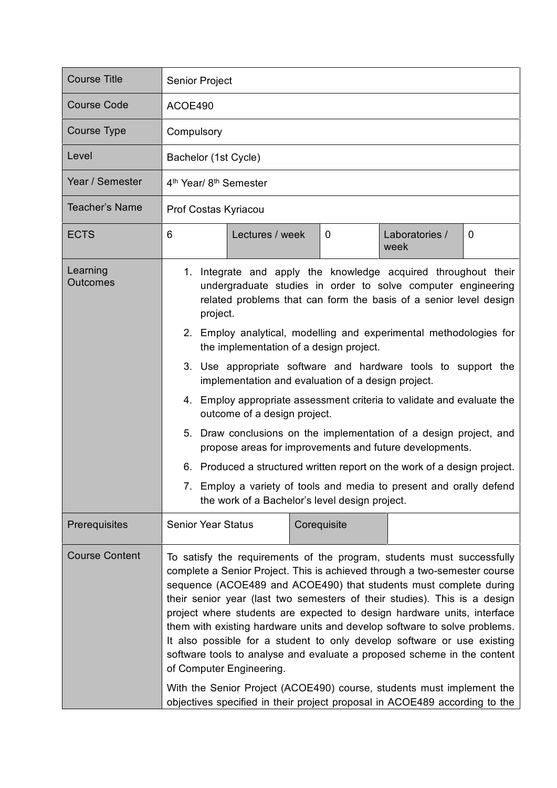| <b>Course Title</b>         | Senior Project                                                                                                                                                                                                                                                                                                                                                                                                                                                                                                                                                                                                                                                                                                                                                                                         |             |                                                                     |   |  |
|-----------------------------|--------------------------------------------------------------------------------------------------------------------------------------------------------------------------------------------------------------------------------------------------------------------------------------------------------------------------------------------------------------------------------------------------------------------------------------------------------------------------------------------------------------------------------------------------------------------------------------------------------------------------------------------------------------------------------------------------------------------------------------------------------------------------------------------------------|-------------|---------------------------------------------------------------------|---|--|
| <b>Course Code</b>          | ACOE490                                                                                                                                                                                                                                                                                                                                                                                                                                                                                                                                                                                                                                                                                                                                                                                                |             |                                                                     |   |  |
| <b>Course Type</b>          | Compulsory                                                                                                                                                                                                                                                                                                                                                                                                                                                                                                                                                                                                                                                                                                                                                                                             |             |                                                                     |   |  |
| Level                       | Bachelor (1st Cycle)                                                                                                                                                                                                                                                                                                                                                                                                                                                                                                                                                                                                                                                                                                                                                                                   |             |                                                                     |   |  |
| Year / Semester             | 4 <sup>th</sup> Year/ 8 <sup>th</sup> Semester                                                                                                                                                                                                                                                                                                                                                                                                                                                                                                                                                                                                                                                                                                                                                         |             |                                                                     |   |  |
| <b>Teacher's Name</b>       | Prof Costas Kyriacou                                                                                                                                                                                                                                                                                                                                                                                                                                                                                                                                                                                                                                                                                                                                                                                   |             |                                                                     |   |  |
| <b>ECTS</b>                 | 6<br>Lectures / week                                                                                                                                                                                                                                                                                                                                                                                                                                                                                                                                                                                                                                                                                                                                                                                   | 0           | Laboratories /<br>week                                              | 0 |  |
| Learning<br><b>Outcomes</b> | Integrate and apply the knowledge acquired throughout their<br>1.<br>undergraduate studies in order to solve computer engineering<br>related problems that can form the basis of a senior level design<br>project.                                                                                                                                                                                                                                                                                                                                                                                                                                                                                                                                                                                     |             |                                                                     |   |  |
|                             | 2. Employ analytical, modelling and experimental methodologies for<br>the implementation of a design project.                                                                                                                                                                                                                                                                                                                                                                                                                                                                                                                                                                                                                                                                                          |             |                                                                     |   |  |
|                             | 3. Use appropriate software and hardware tools to support the<br>implementation and evaluation of a design project.                                                                                                                                                                                                                                                                                                                                                                                                                                                                                                                                                                                                                                                                                    |             |                                                                     |   |  |
|                             | 4.<br>outcome of a design project.                                                                                                                                                                                                                                                                                                                                                                                                                                                                                                                                                                                                                                                                                                                                                                     |             | Employ appropriate assessment criteria to validate and evaluate the |   |  |
|                             | Draw conclusions on the implementation of a design project, and<br>5.<br>propose areas for improvements and future developments.                                                                                                                                                                                                                                                                                                                                                                                                                                                                                                                                                                                                                                                                       |             |                                                                     |   |  |
|                             | 6. Produced a structured written report on the work of a design project.                                                                                                                                                                                                                                                                                                                                                                                                                                                                                                                                                                                                                                                                                                                               |             |                                                                     |   |  |
|                             | Employ a variety of tools and media to present and orally defend<br>7.<br>the work of a Bachelor's level design project.                                                                                                                                                                                                                                                                                                                                                                                                                                                                                                                                                                                                                                                                               |             |                                                                     |   |  |
| Prerequisites               | <b>Senior Year Status</b>                                                                                                                                                                                                                                                                                                                                                                                                                                                                                                                                                                                                                                                                                                                                                                              | Corequisite |                                                                     |   |  |
| <b>Course Content</b>       | To satisfy the requirements of the program, students must successfully<br>complete a Senior Project. This is achieved through a two-semester course<br>sequence (ACOE489 and ACOE490) that students must complete during<br>their senior year (last two semesters of their studies). This is a design<br>project where students are expected to design hardware units, interface<br>them with existing hardware units and develop software to solve problems.<br>It also possible for a student to only develop software or use existing<br>software tools to analyse and evaluate a proposed scheme in the content<br>of Computer Engineering.<br>With the Senior Project (ACOE490) course, students must implement the<br>objectives specified in their project proposal in ACOE489 according to the |             |                                                                     |   |  |